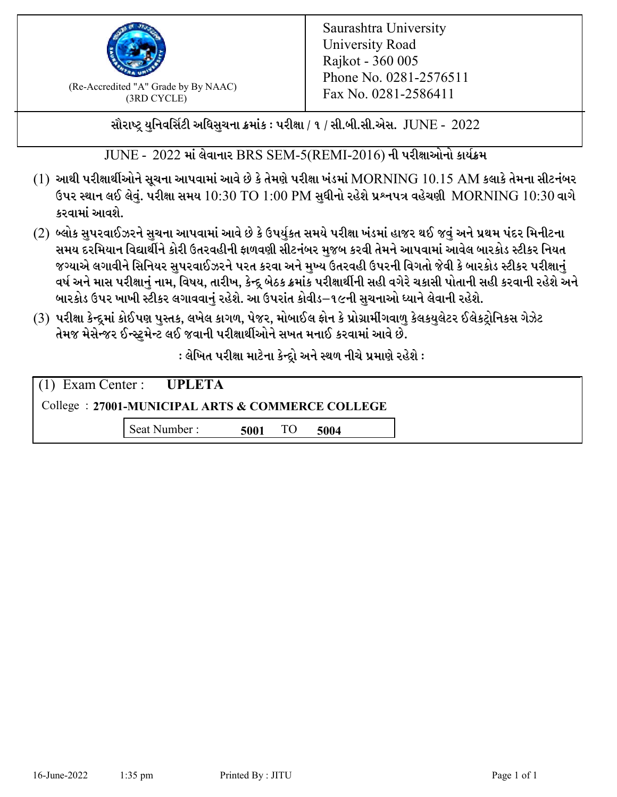

 $F_{\text{R}}$  (Re-Accredited "A" Grade by By NAAC)<br>(3PD CVCLE)<br> $F_{\text{R}}$  No. 0281-2586411 (3RD CYCLE)

સૌરાષ્ટ્ર યુનિવર્સિટી અધિસુચના ક્રમાંક : પરીક્ષા / ૧ / સી.બી.સી.એસ.  $\,$  JUNE -  $\,2022$ 

 $JUNE - 2022$  માં લેવાનાર BRS SEM-5(REMI-2016) ની પરીક્ષાઓનો કાર્યક્રમ

- $(1)$  આથી પરીક્ષાર્થીઓને સૂચના આપવામાં આવે છે કે તેમણે પરીક્ષા ખંડમાં  $\operatorname{MORNING}$   $10.15$   $\operatorname{AM}$  કલાકે તેમના સીટનંબર ઉપર સ્થાન લઈ લેવું. પરીક્ષા સમય  $10:30 \text{ TO } 1:00 \text{ PM}$  સુધીનો રહેશે પ્રશ્નપત્ર વહેચણી  $\text{MORNING } 10:30$  વાગે કરવામાં આવશે.
- (2) બ્લોક સુપરવાઈઝરને સુચના આપવામાં આવે છે કે ઉપર્યુકત સમયે પરીક્ષા ખંડમાં હાજર થઈ જવું અને પ્રથમ પંદર મિનીટના સમય દરમિયાન વિદ્યાર્થીને કોરી ઉતરવહીની ફાળવણી સીટનંબર મજબ કરવી તેમને આપવામાં આવેલ બારકોડ સ્ટીકર નિયત જગ્યાએ લગાવીને સિનિયર સુપરવાઈઝરને પરત કરવા અને મુખ્ય ઉતરવહી ઉપરની વિગતો જેવી કે બારકોડ સ્ટીકર પરીક્ષ<u>ાન</u>ં વર્ષ અને માસ પરીક્ષાનું નામ, વિષય, તારીખ, કેન્દ્ર બેઠક ક્રમાંક પરીક્ષાર્થીની સહી વગેરે ચકાસી પોતાની સહી કરવાની રહેશે અને બારકોડ ઉપર ખાખી સ્ટીકર લગાવવાનં રહેશે. આ ઉપરાંત કોવીડ–૧૯ની સચનાઓ ધ્યાને લેવાની રહેશે.
- (3) પરીક્ષા કેન્દ્રમાં કોઈપણ પુસ્તક, લખેલ કાગળ, પેજર, મોબાઈલ ફોન કે પ્રોગ્રામીંગવાળુ કેલકયુલેટર ઈલેકટ્રોનિકસ ગેઝેટ તેમજ મેસેન્જર ઈન્સ્ટમેન્ટ લઈ જવાની પરીક્ષાર્થીઓને સખત મનાઈ કરવામાં આવે છે.

: લેખિત પરીક્ષા માટેના કેન્દ્દો અને સ્થળ નીચે પ્રમાણે રહેશે :

|                                                  | $(1)$ Exam Center : UPLETA |      |  |      |  |
|--------------------------------------------------|----------------------------|------|--|------|--|
| College: 27001-MUNICIPAL ARTS & COMMERCE COLLEGE |                            |      |  |      |  |
|                                                  | Seat Number:               | 5001 |  | 5004 |  |